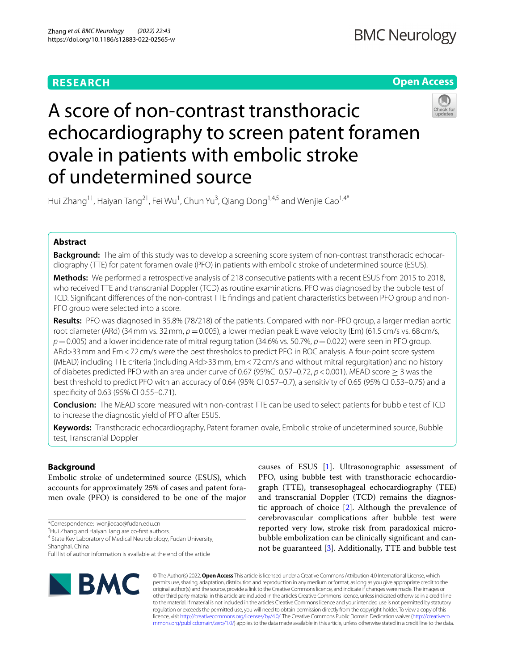# **RESEARCH**

# **Open Access**



# A score of non-contrast transthoracic echocardiography to screen patent foramen ovale in patients with embolic stroke of undetermined source

Hui Zhang $^{1\dagger}$ , Haiyan Tang $^{2\dagger}$ , Fei Wu $^{1}$ , Chun Yu $^{3}$ , Qiang Dong $^{1,4,5}$  and Wenjie Cao $^{1,4^*}$ 

# **Abstract**

**Background:** The aim of this study was to develop a screening score system of non-contrast transthoracic echocardiography (TTE) for patent foramen ovale (PFO) in patients with embolic stroke of undetermined source (ESUS).

**Methods:** We performed a retrospective analysis of 218 consecutive patients with a recent ESUS from 2015 to 2018, who received TTE and transcranial Doppler (TCD) as routine examinations. PFO was diagnosed by the bubble test of TCD. Signifcant diferences of the non-contrast TTE fndings and patient characteristics between PFO group and non-PFO group were selected into a score.

**Results:** PFO was diagnosed in 35.8% (78/218) of the patients. Compared with non-PFO group, a larger median aortic root diameter (ARd) (34 mm vs. 32 mm,  $p=0.005$ ), a lower median peak E wave velocity (Em) (61.5 cm/s vs. 68 cm/s, *p*=0.005) and a lower incidence rate of mitral regurgitation (34.6% vs. 50.7%, *p*=0.022) were seen in PFO group. ARd>33mm and Em<72 cm/s were the best thresholds to predict PFO in ROC analysis. A four-point score system (MEAD) including TTE criteria (including ARd>33mm, Em<72 cm/s and without mitral regurgitation) and no history of diabetes predicted PFO with an area under curve of 0.67 (95%CI 0.57–0.72, *p*<0.001). MEAD score ≥ 3 was the best threshold to predict PFO with an accuracy of 0.64 (95% CI 0.57–0.7), a sensitivity of 0.65 (95% CI 0.53–0.75) and a specificity of 0.63 (95% CI 0.55-0.71).

**Conclusion:** The MEAD score measured with non-contrast TTE can be used to select patients for bubble test of TCD to increase the diagnostic yield of PFO after ESUS.

**Keywords:** Transthoracic echocardiography, Patent foramen ovale, Embolic stroke of undetermined source, Bubble test, Transcranial Doppler

## **Background**

Embolic stroke of undetermined source (ESUS), which accounts for approximately 25% of cases and patent foramen ovale (PFO) is considered to be one of the major

\*Correspondence: wenjiecao@fudan.edu.cn

† Hui Zhang and Haiyan Tang are co-frst authors.

<sup>4</sup> State Key Laboratory of Medical Neurobiology, Fudan University, Shanghai, China

Full list of author information is available at the end of the article



causes of ESUS [\[1\]](#page-5-0). Ultrasonographic assessment of PFO, using bubble test with transthoracic echocardiograph (TTE), transesophageal echocardiography (TEE) and transcranial Doppler (TCD) remains the diagnostic approach of choice [[2](#page-5-1)]. Although the prevalence of cerebrovascular complications after bubble test were reported very low, stroke risk from paradoxical microbubble embolization can be clinically signifcant and cannot be guaranteed [[3\]](#page-5-2). Additionally, TTE and bubble test

© The Author(s) 2022. **Open Access** This article is licensed under a Creative Commons Attribution 4.0 International License, which permits use, sharing, adaptation, distribution and reproduction in any medium or format, as long as you give appropriate credit to the original author(s) and the source, provide a link to the Creative Commons licence, and indicate if changes were made. The images or other third party material in this article are included in the article's Creative Commons licence, unless indicated otherwise in a credit line to the material. If material is not included in the article's Creative Commons licence and your intended use is not permitted by statutory regulation or exceeds the permitted use, you will need to obtain permission directly from the copyright holder. To view a copy of this licence, visit [http://creativecommons.org/licenses/by/4.0/.](http://creativecommons.org/licenses/by/4.0/) The Creative Commons Public Domain Dedication waiver ([http://creativeco](http://creativecommons.org/publicdomain/zero/1.0/) [mmons.org/publicdomain/zero/1.0/](http://creativecommons.org/publicdomain/zero/1.0/)) applies to the data made available in this article, unless otherwise stated in a credit line to the data.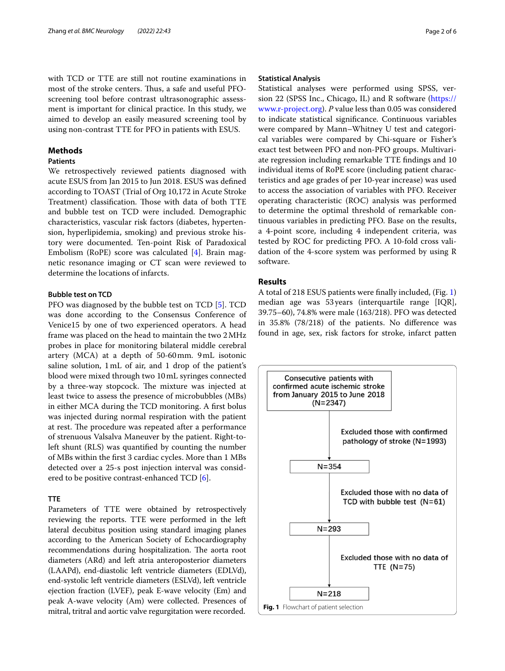with TCD or TTE are still not routine examinations in most of the stroke centers. Thus, a safe and useful PFOscreening tool before contrast ultrasonographic assessment is important for clinical practice. In this study, we aimed to develop an easily measured screening tool by using non-contrast TTE for PFO in patients with ESUS.

## **Methods**

## **Patients**

We retrospectively reviewed patients diagnosed with acute ESUS from Jan 2015 to Jun 2018. ESUS was defned according to TOAST (Trial of Org 10,172 in Acute Stroke Treatment) classification. Those with data of both TTE and bubble test on TCD were included. Demographic characteristics, vascular risk factors (diabetes, hypertension, hyperlipidemia, smoking) and previous stroke history were documented. Ten-point Risk of Paradoxical Embolism (RoPE) score was calculated [[4\]](#page-5-3). Brain magnetic resonance imaging or CT scan were reviewed to determine the locations of infarcts.

## **Bubble test on TCD**

PFO was diagnosed by the bubble test on TCD [[5\]](#page-5-4). TCD was done according to the Consensus Conference of Venice15 by one of two experienced operators. A head frame was placed on the head to maintain the two 2MHz probes in place for monitoring bilateral middle cerebral artery (MCA) at a depth of 50-60mm. 9mL isotonic saline solution, 1mL of air, and 1 drop of the patient's blood were mixed through two 10mL syringes connected by a three-way stopcock. The mixture was injected at least twice to assess the presence of microbubbles (MBs) in either MCA during the TCD monitoring. A frst bolus was injected during normal respiration with the patient at rest. The procedure was repeated after a performance of strenuous Valsalva Maneuver by the patient. Right-toleft shunt (RLS) was quantifed by counting the number of MBs within the frst 3 cardiac cycles. More than 1 MBs detected over a 25-s post injection interval was consid-ered to be positive contrast-enhanced TCD [\[6](#page-5-5)].

## **TTE**

<span id="page-1-0"></span>Parameters of TTE were obtained by retrospectively reviewing the reports. TTE were performed in the left lateral decubitus position using standard imaging planes according to the American Society of Echocardiography recommendations during hospitalization. The aorta root diameters (ARd) and left atria anteroposterior diameters (LAAPd), end-diastolic left ventricle diameters (EDLVd), end-systolic left ventricle diameters (ESLVd), left ventricle ejection fraction (LVEF), peak E-wave velocity (Em) and peak A-wave velocity (Am) were collected. Presences of mitral, tritral and aortic valve regurgitation were recorded.

## **Statistical Analysis**

Statistical analyses were performed using SPSS, version 22 (SPSS Inc., Chicago, IL) and R software [\(https://](https://www.r-project.org) [www.r-project.org\)](https://www.r-project.org). *P* value less than 0.05 was considered to indicate statistical signifcance. Continuous variables were compared by Mann–Whitney U test and categorical variables were compared by Chi-square or Fisher's exact test between PFO and non-PFO groups. Multivariate regression including remarkable TTE fndings and 10 individual items of RoPE score (including patient characteristics and age grades of per 10-year increase) was used to access the association of variables with PFO. Receiver operating characteristic (ROC) analysis was performed to determine the optimal threshold of remarkable continuous variables in predicting PFO. Base on the results, a 4-point score, including 4 independent criteria, was tested by ROC for predicting PFO. A 10-fold cross validation of the 4-score system was performed by using R software.

## **Results**

A total of 218 ESUS patients were fnally included, (Fig. [1](#page-1-0)) median age was 53years (interquartile range [IQR], 39.75–60), 74.8% were male (163/218). PFO was detected in 35.8% (78/218) of the patients. No diference was found in age, sex, risk factors for stroke, infarct patten

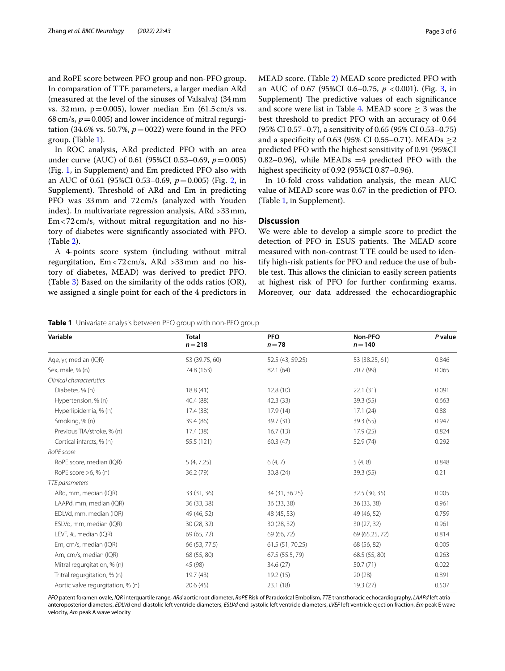and RoPE score between PFO group and non-PFO group. In comparation of TTE parameters, a larger median ARd (measured at the level of the sinuses of Valsalva) (34mm vs. 32mm,  $p=0.005$ ), lower median Em (61.5 cm/s vs. 68 cm/s,  $p = 0.005$ ) and lower incidence of mitral regurgitation (34.6% vs. 50.7%,  $p = 0022$ ) were found in the PFO group. (Table [1](#page-2-0)).

In ROC analysis, ARd predicted PFO with an area under curve (AUC) of 0.61 (95%CI 0.53–0.69, *p*=0.005) (Fig. [1,](#page-4-0) in Supplement) and Em predicted PFO also with an AUC of 0.61 (95%CI 0.53–0.69, *p*=0.005) (Fig. [2,](#page-4-0) in Supplement). Threshold of ARd and Em in predicting PFO was 33mm and 72cm/s (analyzed with Youden index). In multivariate regression analysis, ARd >33mm, Em<72cm/s, without mitral regurgitation and no history of diabetes were signifcantly associated with PFO. (Table [2](#page-3-0)).

A 4-points score system (including without mitral regurgitation, Em<72cm/s, ARd >33mm and no history of diabetes, MEAD) was derived to predict PFO. (Table [3\)](#page-3-1) Based on the similarity of the odds ratios (OR), we assigned a single point for each of the 4 predictors in MEAD score. (Table [2\)](#page-3-0) MEAD score predicted PFO with an AUC of 0.67 (95%CI 0.6–0.75, *p* <0.001). (Fig. [3](#page-4-0), in Supplement) The predictive values of each significance and score were list in Table [4.](#page-3-2) MEAD score  $> 3$  was the best threshold to predict PFO with an accuracy of 0.64 (95% CI 0.57–0.7), a sensitivity of 0.65 (95% CI 0.53–0.75) and a specificity of 0.63 (95% CI 0.55–0.71). MEADs  $\geq$ 2 predicted PFO with the highest sensitivity of 0.91 (95%CI 0.82–0.96), while MEADs  $=4$  predicted PFO with the highest specifcity of 0.92 (95%CI 0.87–0.96).

In 10-fold cross validation analysis, the mean AUC value of MEAD score was 0.67 in the prediction of PFO. (Table [1,](#page-4-0) in Supplement).

## **Discussion**

We were able to develop a simple score to predict the detection of PFO in ESUS patients. The MEAD score measured with non-contrast TTE could be used to identify high-risk patients for PFO and reduce the use of bubble test. This allows the clinician to easily screen patients at highest risk of PFO for further confrming exams. Moreover, our data addressed the echocardiographic

<span id="page-2-0"></span>

|  |  |  | Table 1 Univariate analysis between PFO group with non-PFO group |
|--|--|--|------------------------------------------------------------------|
|--|--|--|------------------------------------------------------------------|

| Variable                          | <b>Total</b><br>$n = 218$ | <b>PFO</b><br>$n = 78$ | Non-PFO<br>$n = 140$ | P value |
|-----------------------------------|---------------------------|------------------------|----------------------|---------|
| Age, yr, median (IQR)             | 53 (39.75, 60)            | 52.5 (43, 59.25)       | 53 (38.25, 61)       | 0.846   |
| Sex, male, % (n)                  | 74.8 (163)                | 82.1 (64)              | 70.7 (99)            | 0.065   |
| Clinical characteristics          |                           |                        |                      |         |
| Diabetes, % (n)                   | 18.8(41)                  | 12.8(10)               | 22.1(31)             | 0.091   |
| Hypertension, % (n)               | 40.4 (88)                 | 42.3(33)               | 39.3 (55)            | 0.663   |
| Hyperlipidemia, % (n)             | 17.4 (38)                 | 17.9(14)               | 17.1(24)             | 0.88    |
| Smoking, % (n)                    | 39.4 (86)                 | 39.7 (31)              | 39.3 (55)            | 0.947   |
| Previous TIA/stroke, % (n)        | 17.4(38)                  | 16.7(13)               | 17.9(25)             | 0.824   |
| Cortical infarcts, % (n)          | 55.5 (121)                | 60.3(47)               | 52.9 (74)            | 0.292   |
| RoPE score                        |                           |                        |                      |         |
| RoPE score, median (IQR)          | 5(4, 7.25)                | 6(4, 7)                | 5(4, 8)              | 0.848   |
| RoPE score $>6$ , % (n)           | 36.2(79)                  | 30.8(24)               | 39.3 (55)            | 0.21    |
| TTE parameters                    |                           |                        |                      |         |
| ARd, mm, median (IQR)             | 33 (31, 36)               | 34 (31, 36.25)         | 32.5 (30, 35)        | 0.005   |
| LAAPd, mm, median (IQR)           | 36 (33, 38)               | 36 (33, 38)            | 36 (33, 38)          | 0.961   |
| EDLVd, mm, median (IQR)           | 49 (46, 52)               | 48 (45, 53)            | 49 (46, 52)          | 0.759   |
| ESLVd, mm, median (IQR)           | 30 (28, 32)               | 30(28, 32)             | 30(27, 32)           | 0.961   |
| LEVF, %, median (IQR)             | 69 (65, 72)               | 69 (66, 72)            | 69 (65.25, 72)       | 0.814   |
| Em, cm/s, median (IQR)            | 66 (53, 77.5)             | 61.5 (51, 70.25)       | 68 (56, 82)          | 0.005   |
| Am, cm/s, median (IQR)            | 68 (55, 80)               | 67.5 (55.5, 79)        | 68.5 (55, 80)        | 0.263   |
| Mitral regurgitation, % (n)       | 45 (98)                   | 34.6(27)               | 50.7(71)             | 0.022   |
| Tritral regurgitation, % (n)      | 19.7 (43)                 | 19.2(15)               | 20(28)               | 0.891   |
| Aortic valve regurgitation, % (n) | 20.6(45)                  | 23.1 (18)              | 19.3(27)             | 0.507   |

*PFO* patent foramen ovale, *IQR* interquartile range, *ARd* aortic root diameter, *RoPE* Risk of Paradoxical Embolism, *TTE* transthoracic echocardiography, *LAAPd* left atria anteroposterior diameters, *EDLVd* end-diastolic left ventricle diameters, *ESLVd* end-systolic left ventricle diameters, *LVEF* left ventricle ejection fraction, *Em* peak E wave velocity, *Am* peak A wave velocity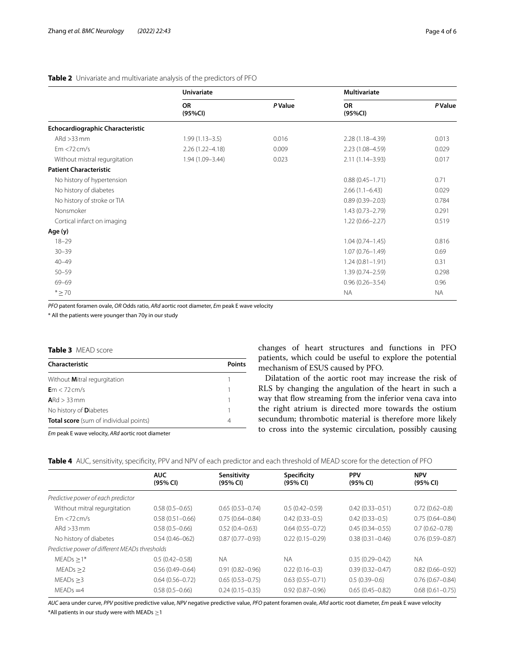|                                         | <b>Univariate</b>    |                | <b>Multivariate</b>  |                |
|-----------------------------------------|----------------------|----------------|----------------------|----------------|
|                                         | <b>OR</b><br>(95%CI) | <b>P</b> Value | <b>OR</b><br>(95%CI) | <b>P</b> Value |
| <b>Echocardiographic Characteristic</b> |                      |                |                      |                |
| $ARd > 33$ mm                           | $1.99(1.13 - 3.5)$   | 0.016          | $2.28(1.18 - 4.39)$  | 0.013          |
| Em < 72 cm/s                            | $2.26(1.22 - 4.18)$  | 0.009          | 2.23 (1.08-4.59)     | 0.029          |
| Without mistral regurgitation           | 1.94 (1.09-3.44)     | 0.023          | $2.11(1.14 - 3.93)$  | 0.017          |
| <b>Patient Characteristic</b>           |                      |                |                      |                |
| No history of hypertension              |                      |                | $0.88(0.45 - 1.71)$  | 0.71           |
| No history of diabetes                  |                      |                | $2.66(1.1-6.43)$     | 0.029          |
| No history of stroke or TIA             |                      |                | $0.89(0.39 - 2.03)$  | 0.784          |
| Nonsmoker                               |                      |                | $1.43(0.73 - 2.79)$  | 0.291          |
| Cortical infarct on imaging             |                      |                | $1.22(0.66 - 2.27)$  | 0.519          |
| Age (y)                                 |                      |                |                      |                |
| $18 - 29$                               |                      |                | $1.04(0.74 - 1.45)$  | 0.816          |
| $30 - 39$                               |                      |                | $1.07(0.76 - 1.49)$  | 0.69           |
| $40 - 49$                               |                      |                | $1.24(0.81 - 1.91)$  | 0.31           |
| $50 - 59$                               |                      |                | $1.39(0.74 - 2.59)$  | 0.298          |
| 69-69                                   |                      |                | $0.96(0.26 - 3.54)$  | 0.96           |
| $*$ $\geq$ 70                           |                      |                | <b>NA</b>            | <b>NA</b>      |

## <span id="page-3-0"></span>**Table 2** Univariate and multivariate analysis of the predictors of PFO

*PFO* patent foramen ovale, *OR* Odds ratio, *ARd* aortic root diameter, *Em* peak E wave velocity

\* All the patients were younger than 70y in our study

#### <span id="page-3-1"></span>**Table 3** MEAD score

| Characteristic                                | Points |  |
|-----------------------------------------------|--------|--|
| Without Mitral regurgitation                  |        |  |
| $Em < 72$ cm/s                                |        |  |
| $ARd > 33$ mm                                 |        |  |
| No history of <b>D</b> iabetes                |        |  |
| <b>Total score</b> (sum of individual points) |        |  |
|                                               |        |  |

*Em* peak E wave velocity, *ARd* aortic root diameter

changes of heart structures and functions in PFO patients, which could be useful to explore the potential mechanism of ESUS caused by PFO.

Dilatation of the aortic root may increase the risk of RLS by changing the angulation of the heart in such a way that flow streaming from the inferior vena cava into the right atrium is directed more towards the ostium secundum; thrombotic material is therefore more likely to cross into the systemic circulation, possibly causing

<span id="page-3-2"></span>

|  |  |  |  |  | Table 4 AUC, sensitivity, specificity, PPV and NPV of each predictor and each threshold of MEAD score for the detection of PFO |
|--|--|--|--|--|--------------------------------------------------------------------------------------------------------------------------------|
|--|--|--|--|--|--------------------------------------------------------------------------------------------------------------------------------|

|                                                | <b>AUC</b><br>(95% CI) | Sensitivity<br>(95% CI) | Specificity<br>(95% CI) | <b>PPV</b><br>(95% CI) | <b>NPV</b>          |  |
|------------------------------------------------|------------------------|-------------------------|-------------------------|------------------------|---------------------|--|
|                                                |                        |                         |                         |                        | (95% CI)            |  |
| Predictive power of each predictor             |                        |                         |                         |                        |                     |  |
| Without mitral regurgitation                   | $0.58(0.5 - 0.65)$     | $0.65(0.53 - 0.74)$     | $0.5(0.42 - 0.59)$      | $0.42(0.33 - 0.51)$    | $0.72(0.62 - 0.8)$  |  |
| Fm < 72 cm/s                                   | $0.58(0.51 - 0.66)$    | $0.75(0.64 - 0.84)$     | $0.42(0.33 - 0.5)$      | $0.42(0.33 - 0.5)$     | $0.75(0.64 - 0.84)$ |  |
| ARd $>33$ mm                                   | $0.58(0.5 - 0.66)$     | $0.52(0.4 - 0.63)$      | $0.64(0.55 - 0.72)$     | $0.45(0.34 - 0.55)$    | $0.7(0.62 - 0.78)$  |  |
| No history of diabetes                         | $0.54(0.46 - 062)$     | $0.87(0.77 - 0.93)$     | $0.22(0.15 - 0.29)$     | $0.38(0.31 - 0.46)$    | $0.76(0.59 - 0.87)$ |  |
| Predictive power of different MEADs thresholds |                        |                         |                         |                        |                     |  |
| $MEADS > 1*$                                   | $0.5(0.42 - 0.58)$     | <b>NA</b>               | <b>NA</b>               | $0.35(0.29 - 0.42)$    | <b>NA</b>           |  |
| MEADs > 2                                      | $0.56(0.49 - 0.64)$    | $0.91(0.82 - 0.96)$     | $0.22(0.16-0.3)$        | $0.39(0.32 - 0.47)$    | $0.82(0.66 - 0.92)$ |  |
| MEADs > 3                                      | $0.64(0.56 - 0.72)$    | $0.65(0.53 - 0.75)$     | $0.63(0.55 - 0.71)$     | $0.5(0.39-0.6)$        | $0.76(0.67 - 0.84)$ |  |
| $MEADs = 4$                                    | $0.58(0.5 - 0.66)$     | $0.24(0.15 - 0.35)$     | $0.92(0.87 - 0.96)$     | $0.65(0.45 - 0.82)$    | $0.68(0.61 - 0.75)$ |  |

*AUC* aera under curve, *PPV* positive predictive value, *NPV* negative predictive value, *PFO* patent foramen ovale, *ARd* aortic root diameter, *Em* peak E wave velocity \*All patients in our study were with MEADs  $\geq$ 1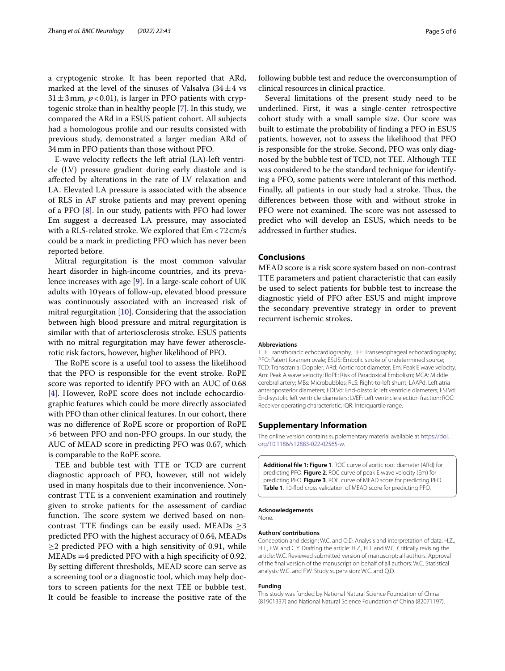a cryptogenic stroke. It has been reported that ARd, marked at the level of the sinuses of Valsalva  $(34 \pm 4 \text{ vs }$  $31 \pm 3$  mm,  $p < 0.01$ ), is larger in PFO patients with cryptogenic stroke than in healthy people [\[7](#page-5-6)]. In this study, we compared the ARd in a ESUS patient cohort. All subjects had a homologous profle and our results consisted with previous study, demonstrated a larger median ARd of 34mm in PFO patients than those without PFO.

E-wave velocity refects the left atrial (LA)-left ventricle (LV) pressure gradient during early diastole and is afected by alterations in the rate of LV relaxation and LA. Elevated LA pressure is associated with the absence of RLS in AF stroke patients and may prevent opening of a PFO [[8](#page-5-7)]. In our study, patients with PFO had lower Em suggest a decreased LA pressure, may associated with a RLS-related stroke. We explored that Em<72cm/s could be a mark in predicting PFO which has never been reported before.

Mitral regurgitation is the most common valvular heart disorder in high-income countries, and its prevalence increases with age [\[9\]](#page-5-8). In a large-scale cohort of UK adults with 10years of follow-up, elevated blood pressure was continuously associated with an increased risk of mitral regurgitation [\[10\]](#page-5-9). Considering that the association between high blood pressure and mitral regurgitation is similar with that of arteriosclerosis stroke. ESUS patients with no mitral regurgitation may have fewer atherosclerotic risk factors, however, higher likelihood of PFO.

The RoPE score is a useful tool to assess the likelihood that the PFO is responsible for the event stroke. RoPE score was reported to identify PFO with an AUC of 0.68 [[4\]](#page-5-3). However, RoPE score does not include echocardiographic features which could be more directly associated with PFO than other clinical features. In our cohort, there was no diference of RoPE score or proportion of RoPE >6 between PFO and non-PFO groups. In our study, the AUC of MEAD score in predicting PFO was 0.67, which is comparable to the RoPE score.

TEE and bubble test with TTE or TCD are current diagnostic approach of PFO, however, still not widely used in many hospitals due to their inconvenience. Noncontrast TTE is a convenient examination and routinely given to stroke patients for the assessment of cardiac function. The score system we derived based on noncontrast TTE findings can be easily used. MEADs  $\geq$ 3 predicted PFO with the highest accuracy of 0.64, MEADs  $\geq$ 2 predicted PFO with a high sensitivity of 0.91, while  $MEADs = 4$  predicted PFO with a high specificity of 0.92. By setting diferent thresholds, MEAD score can serve as a screening tool or a diagnostic tool, which may help doctors to screen patients for the next TEE or bubble test. It could be feasible to increase the positive rate of the following bubble test and reduce the overconsumption of clinical resources in clinical practice.

Several limitations of the present study need to be underlined. First, it was a single-center retrospective cohort study with a small sample size. Our score was built to estimate the probability of fnding a PFO in ESUS patients, however, not to assess the likelihood that PFO is responsible for the stroke. Second, PFO was only diagnosed by the bubble test of TCD, not TEE. Although TEE was considered to be the standard technique for identifying a PFO, some patients were intolerant of this method. Finally, all patients in our study had a stroke. Thus, the diferences between those with and without stroke in PFO were not examined. The score was not assessed to predict who will develop an ESUS, which needs to be addressed in further studies.

## **Conclusions**

MEAD score is a risk score system based on non-contrast TTE parameters and patient characteristic that can easily be used to select patients for bubble test to increase the diagnostic yield of PFO after ESUS and might improve the secondary preventive strategy in order to prevent recurrent ischemic strokes.

#### **Abbreviations**

TTE: Transthoracic echocardiography; TEE: Transesophageal echocardiography; PFO: Patent foramen ovale; ESUS: Embolic stroke of undetermined source; TCD: Transcranial Doppler; ARd: Aortic root diameter; Em: Peak E wave velocity; Am: Peak A wave velocity; RoPE: Risk of Paradoxical Embolism; MCA: Middle cerebral artery; MBs: Microbubbles; RLS: Right-to-left shunt; LAAPd: Left atria anteroposterior diameters; EDLVd: End-diastolic left ventricle diameters; ESLVd: End-systolic left ventricle diameters; LVEF: Left ventricle ejection fraction; ROC: Receiver operating characteristic; IQR: Interquartile range.

## **Supplementary Information**

The online version contains supplementary material available at [https://doi.](https://doi.org/10.1186/s12883-022-02565-w) [org/10.1186/s12883-022-02565-w.](https://doi.org/10.1186/s12883-022-02565-w)

<span id="page-4-0"></span>**Additional fle 1: Figure 1**. ROC curve of aortic root diameter (ARd) for predicting PFO. **Figure 2**. ROC curve of peak E wave velocity (Em) for predicting PFO. **Figure 3**. ROC curve of MEAD score for predicting PFO. **Table 1**. 10-fod cross validation of MEAD score for predicting PFO.

#### **Acknowledgements**

None.

#### **Authors' contributions**

Conception and design: W.C. and Q.D. Analysis and interpretation of data: H.Z., H.T., F.W. and C.Y. Drafting the article: H.Z., H.T. and W.C. Critically revising the article: W.C. Reviewed submitted version of manuscript: all authors. Approval of the fnal version of the manuscript on behalf of all authors: W.C. Statistical analysis: W.C. and F.W. Study supervision: W.C. and Q.D.

#### **Funding**

This study was funded by National Natural Science Foundation of China (81901337) and National Natural Science Foundation of China (82071197).